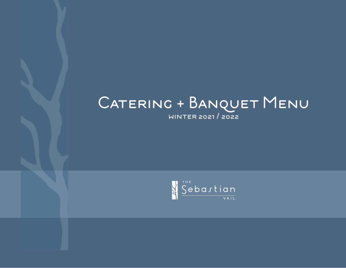# CATERING + BANQUET MENU

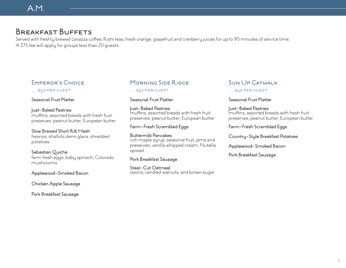# Breakfast Buffets

Served with freshly brewed Lavazza coffee, Rishi teas, fresh orange, grapefruit and cranberry juices for up to 90 minutes of service time. A \$75 fee will apply for groups less than 20 guests.

# Emperor's Choice

..... \$50 per guest

Seasonal Fruit Platter

#### Just-Baked Pastries

muffins, assorted breads with fresh fruit preserves, peanut butter, European butter

#### Slow Braised Short Rib Hash fresnos, shallots demi glace, shredded

potatoes

#### Sebastian Quiche

farm fresh eggs, baby spinach, Colorado mushrooms

#### Applewood-Smoked Bacon

Chicken Apple Sausage

#### Pork Breakfast Sausage

# Morning Side Ridge

#### ..... \$47 per guest

#### Seasonal Fruit Platter

Just-Baked Pastries muffins, assorted breads with fresh fruit preserves, peanut butter, European butter

#### Farm-Fresh Scrambled Eggs

Buttermilk Pancakes rich maple syrup, seasonal fruit, jams and preserves, vanilla whipped cream, Nutella spread

#### Pork Breakfast Sausage

Steal-Cut Oatmeal raisins, candied walnuts, and brown sugar

#### Sun Up Catwalk

..... \$42 per guest

#### Seasonal Fruit Platter

Just-Baked Pastries muffins, assorted breads with fresh fruit preserves, peanut butter, European butter

Farm-Fresh Scrambled Eggs

Country-Style Breakfast Potatoes

Applewood-Smoked Bacon

Pork Breakfast Sausage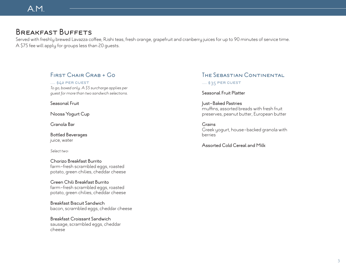# Breakfast Buffets

Served with freshly brewed Lavazza coffee, Rishi teas, fresh orange, grapefruit and cranberry juices for up to 90 minutes of service time. A \$75 fee will apply for groups less than 20 guests.

## First Chair Grab + Go

..... \$42 per guest *To go, boxed only. A \$5 surcharge applies per guest for more than two sandwich selections.*

Seasonal Fruit

Noosa Yogurt Cup

Granola Bar

Bottled Beverages juice, water

*Select two:*

Chorizo Breakfast Burrito farm-fresh scrambled eggs, roasted potato, green chilies, cheddar cheese

Green Chili Breakfast Burrito farm-fresh scrambled eggs, roasted potato, green chilies, cheddar cheese

Breakfast Biscuit Sandwich bacon, scrambled eggs, cheddar cheese

Breakfast Croissant Sandwich sausage, scrambled eggs, cheddar cheese

# The Sebastian Continental

..... \$35 PER GUEST

Seasonal Fruit Platter

Just-Baked Pastries muffins, assorted breads with fresh fruit preserves, peanut butter, European butter

**Grains** Greek yogurt, house-backed granola with berries

Assorted Cold Cereal and Milk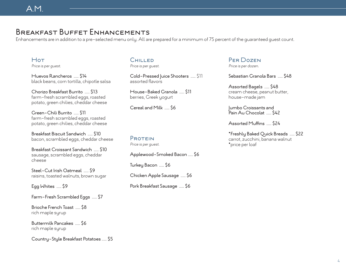# Breakfast Buffet Enhancements

Enhancements are in addition to a pre-selected menu only. All are prepared for a minimum of 75 percent of the guaranteed guest count.

Hot *Price is per guest.*

Huevos Rancheros ..... \$14 black beans, corn tortilla, chipotle salsa

Chorizo Breakfast Burrito ..... \$13 farm-fresh scrambled eggs, roasted potato, green chilies, cheddar cheese

Green-Chili Burrito ..... \$11 farm-fresh scrambled eggs, roasted potato, green chilies, cheddar cheese

Breakfast Biscuit Sandwich ..... \$10 bacon, scrambled eggs, cheddar cheese

Breakfast Croissant Sandwich ..... \$10 sausage, scrambled eggs, cheddar cheese

Steel-Cut Irish Oatmeal ..... \$9 raisins, toasted walnuts, brown sugar

Egg Whites ..... \$9

Farm-Fresh Scrambled Eggs ..... \$7

Brioche French Toast ..... \$8 rich maple syrup

Buttermilk Pancakes ..... \$6 rich maple syrup

Country-Style Breakfast Potatoes ..... \$5

# **CHILLED**

*Price is per guest.*

Cold-Pressed Juice Shooters ..... \$11 assorted flavors

House-Baked Granola ..... \$11 berries, Greek yogurt

Cereal and Milk ..... \$6

#### PROTEIN *Price is per guest.*

Applewood-Smoked Bacon ..... \$6 Turkey Bacon ..... \$6

Chicken Apple Sausage ..... \$6

Pork Breakfast Sausage ..... \$6

#### Per Dozen *Price is per dozen.*

Sebastian Granola Bars ..... \$48

Assorted Bagels ..... \$48 cream cheese, peanut butter, house-made jam

Jumbo Croissants and Pain Au Chocolat ..... \$42

Assorted Muffins ..... \$24

\*Freshly Baked Quick Breads ..... \$22 carrot, zucchini, banana walnut \*price per loaf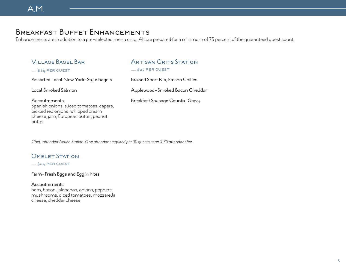# Breakfast Buffet Enhancements

Enhancements are in addition to a pre-selected menu only. All are prepared for a minimum of 75 percent of the guaranteed guest count.

| <b>VILLAGE BAGEL BAR</b><br>$\ldots$ \$24 PER GUEST                                                                                              | ARTISAN GRITS STATION<br>\$27 PER GUEST |
|--------------------------------------------------------------------------------------------------------------------------------------------------|-----------------------------------------|
| Assorted Local New York-Style Bagels                                                                                                             | Braised Short Rib, Fresno Chilies       |
| Local Smoked Salmon                                                                                                                              | Applewood-Smoked Bacon Cheddar          |
| Accoutrements<br>Spanish onions, sliced tomatoes, capers,<br>pickled red onions, whipped cream<br>cheese, jam, European butter, peanut<br>butter | Breakfast Sausage Country Gravy         |

*Chef-attended Action Station. One attendant required per 30 guests at an \$125 attendant fee.*

## **OMELET STATION**

..... \$25 PER GUEST

#### Farm-Fresh Eggs and Egg Whites

#### Accoutrements

ham, bacon, jalapenos, onions, peppers, mushrooms, diced tomatoes, mozzarella cheese, cheddar cheese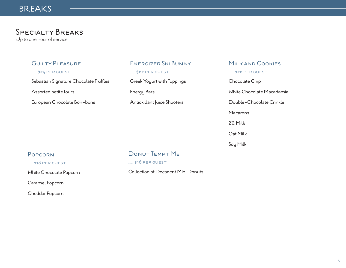# **BREAKS**

# Specialty Breaks

Up to one hour of service.

## Guilty Pleasure

..... \$24 per guest

Sebastian Signature Chocolate Truffles

Assorted petite fours

European Chocolate Bon-bons

## Energizer Ski Bunny

..... \$22 per guest

Greek Yogurt with Toppings

Energy Bars

Antioxidant Juice Shooters

#### Milk and Cookies

..... \$22 per guest

Chocolate Chip

White Chocolate Macadamia

Double-Chocolate Crinkle

Macarons

2% Milk

Oat Milk

Soy Milk

#### Popcorn

#### ..... \$18 per guest

White Chocolate Popcorn

Caramel Popcorn

Cheddar Popcorn

## Donut Tempt Me

..... \$16 PER GUEST

Collection of Decadent Mini Donuts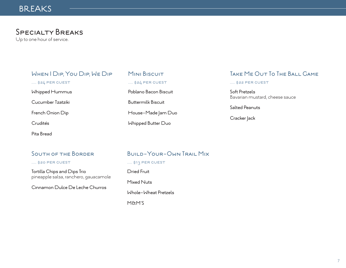# **BREAKS**

# Specialty Breaks

Up to one hour of service.

# When I Dip, You Dip, We Dip ..... \$24 per guest Whipped Hummus Cucumber Tzatziki French Onion Dip

Crudités

Pita Bread

# MINI BISCUIT ..... \$24 per guest Poblano Bacon Biscuit

Buttermilk Biscuit

House-Made Jam Duo

Whipped Butter Duo

# Take Me Out To The Ball Game

..... \$22 per guest

Soft Pretzels Bavarian mustard, cheese sauce

Salted Peanuts

Cracker Jack

## South of the Border

..... \$20 per guest

Tortilla Chips and Dips Trio pineapple salsa, ranchero, gauacamole

Cinnamon Dulce De Leche Churros

# Build-Your-Own Trail Mix

..... \$13 PER GUEST

Dried Fruit

Mixed Nuts

Whole-Wheat Pretzels

M&M'S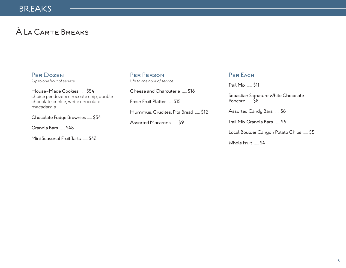# À La Carte Breaks

Per Dozen *Up to one hour of service.*

House-Made Cookies ..... \$54 choice per dozen: chocoate chip, double chocolate crinkle, white chocolate macadamia

Chocolate Fudge Brownies ..... \$54

Granola Bars ..... \$48

Mini Seasonal Fruit Tarts ..... \$42

Per Person *Up to one hour of service.*

Cheese and Charcuterie ..... \$18 Fresh Fruit Platter ..... \$15 Hummus, Crudités, Pita Bread ..... \$12

Assorted Macarons ..... \$9

PER EACH

Trail Mix ..... \$11

Sebastian Signature White Chocolate Popcorn ..... \$8

Assorted Candy Bars ..... \$6

Trail Mix Granola Bars ..... \$6

Local Boulder Canyon Potato Chips ..... \$5

Whole Fruit ..... \$4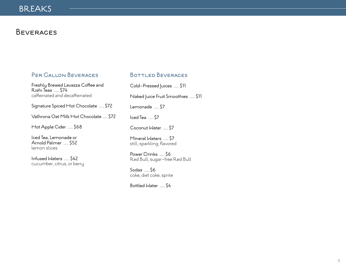# **BEVERAGES**

## Per Gallon Beverages

Freshly Brewed Lavazza Coffee and Rishi Teas ..... \$74 caffeinated and decaffeinated

Signature Spiced Hot Chocolate ..... \$72

Valhrona Oat Milk Hot Chocolate ..... \$72

Hot Apple Cider ..... \$68

Iced Tea, Lemonade or Arnold Palmer ..... \$52 lemon slices

Infused Waters ..... \$42 cucumber, citrus, or berry

#### BOTTLED BEVERAGES

Cold-Pressed Juices ..... \$11 Naked Juice Fruit Smoothies ..... \$11 Lemonade ..... \$7 Iced Tea ..... \$7 Coconut Water ..... \$7 Mineral Waters ..... \$7 still, sparkling, flavored Power Drinks ..... \$6 Red Bull, sugar-free Red Bull Sodas ..... \$6

coke, diet coke, sprite

Bottled Water ..... \$4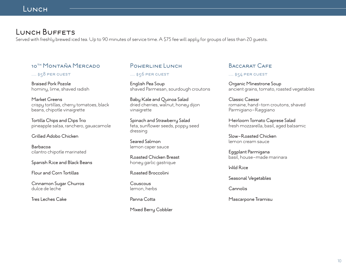# LUNCH BUFFETS

Served with freshly brewed iced tea. Up to 90 minutes of service time. A \$75 fee will apply for groups of less than 20 guests.

# 10<sup>th</sup> MONTAÑA MERCADO

#### ..... \$58 PER GUEST

Braised Pork Pozole hominy, lime, shaved radish

Market Greens crispy tortillas, cherry tomatoes, black beans, chipotle vinaigrette

Tortilla Chips and Dips Trio pineapple salsa, ranchero, gauacamole

#### Grilled Adobo Chicken

Barbacoa cilantro chipotle marinated

Spanish Rice and Black Beans

Flour and Corn Tortillas

Cinnamon Sugar Churros dulce de leche

Tres Leches Cake

## Powerline Lunch

..... \$56 PER GUEST

English Pea Soup shaved Parmesan, sourdough croutons

Baby Kale and Quinoa Salad dried cherries, walnut, honey dijon vinaigrette

Spinach and Strawberry Salad feta, sunflower seeds, poppy seed dressing

Seared Salmon lemon caper sauce

Roasted Chicken Breast honey garlic gastrique

#### Roasted Broccolini

Couscous lemon, herbs

Panna Cotta

Mixed Berry Cobbler

## Baccarat Cafe

#### ..... \$54 per guest

Organic Minestrone Soup ancient grains, tomato, roasted vegetables

Classic Caesar romaine, hand-torn croutons, shaved Parmigiano-Reggiano

Heirloom Tomato Caprese Salad fresh mozzarella, basil, aged balsamic

Slow-Roasted Chicken lemon cream sauce

Eggplant Parmigana basil, house-made marinara

Wild Rice

Seasonal Vegetables

Cannolis

Mascarpone Tiramisu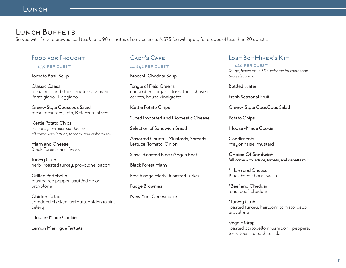# LUNCH BUFFETS

Served with freshly brewed iced tea. Up to 90 minutes of service time. A \$75 fee will apply for groups of less than 20 guests.

## Food for Thought

#### ..... \$50 PER GUEST

Tomato Basil Soup

Classic Caesar romaine, hand-torn croutons, shaved Parmigiano-Reggiano

Greek-Style Couscous Salad roma tomatoes, feta, Kalamata olives

Kettle Potato Chips *assorted pre-made sandwiches: all come with lettuce, tomato, and ciabatta roll*

Ham and Cheese Black Forest ham, Swiss

Turkey Club herb-roasted turkey, provolone, bacon

Grilled Portobello roasted red pepper, sautéed onion, provolone

Chicken Salad shredded chicken, walnuts, golden raisin, celery

House-Made Cookies

Lemon Meringue Tartlets

## CADY'S CAFF

#### ..... \$42 per guest

Broccoli Cheddar Soup

Tangle of Field Greens cucumbers, organic tomatoes, shaved carrots, house vinaigrette

Kettle Potato Chips

Sliced Imported and Domestic Cheese

Selection of Sandwich Bread

Assorted Country Mustards, Spreads, Lettuce, Tomato, Onion

Slow-Roasted Black Angus Beef

Black Forest Ham

Free Range Herb-Roasted Turkey

Fudge Brownies

New York Cheesecake

## Lost Boy Hiker's Kit

..... \$40 per guest *To-go, boxed only. \$5 surcharge for more than two selections.*

#### Bottled Water

Fresh Seasonal Fruit

Greek- Style CousCous Salad

Potato Chips

House-Made Cookie

**Condiments** mayonnaise, mustard

**Choice Of Sandwich: \*all come with lettuce, tomato, and ciabatta roll**

\*Ham and Cheese Black Forest ham, Swiss

\*Beef and Cheddar roast beef, cheddar

\*Turkey Club roasted turkey, heirloom tomato, bacon, provolone

Veggie Wrap roasted portobello mushroom, peppers, tomatoes, spinach tortilla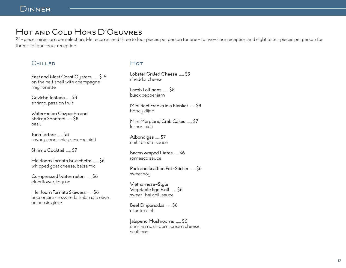# Hot and Cold Hors D'Oeuvres

24-piece minimum per selection. We recommend three to four pieces per person for one- to two-hour reception and eight to ten pieces per person for three- to four-hour reception.

#### **CHILLED**

East and West Coast Oysters ..... \$16 on the half shell with champagne mignonette

Ceviche Tostada ..... \$8 shrimp, passion fruit

Watermelon Gazpacho and Shrimp Shooters ..... \$8 basil

Tuna Tartare ..... \$8 savory cone, spicy sesame aioli

Shrimp Cocktail ..... \$7

Heirloom Tomato Bruschetta ..... \$6 whipped goat cheese, balsamic

Compressed Watermelon ..... \$6 elderflower, thyme

Heirloom Tomato Skewers ..... \$6 bocconcini mozzarella, kalamata olive, balsamic glaze

#### $Hor$

Lobster Grilled Cheese ..... \$9 cheddar cheese

Lamb Lollipops ..... \$8 black pepper jam

Mini Beef Franks in a Blanket ..... \$8 honey dijon

Mini Maryland Crab Cakes ..... \$7 lemon aioli

Albondigas ..... \$7 chili tomato sauce

Bacon wraped Dates ..... \$6 romesco sauce

Pork and Scallion Pot-Sticker ..... \$6 sweet soy

Vietnamese-Style Vegetable Egg Roll ..... \$6 sweet Thai chili sauce

Beef Empanadas ..... \$6 cilantro aioli

Jalapeno Mushrooms ..... \$6 crimini mushroom, cream cheese, scallions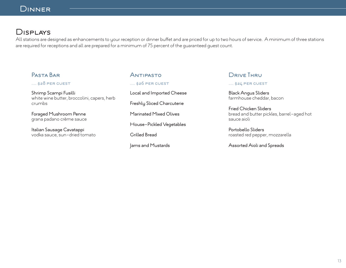# Displays

All stations are designed as enhancements to your reception or dinner buffet and are priced for up to two hours of service. A minimum of three stations are required for receptions and all are prepared for a minimum of 75 percent of the guaranteed guest count.

## Pasta Bar ..... \$28 per guest Shrimp Scampi Fusilli white wine butter, broccolini, capers, herb crumbs Foraged Mushroom Penne grana padano crème sauce Italian Sausage Cavatappi vodka sauce, sun-dried tomato Antipasto

..... \$26 per guest Local and Imported Cheese Freshly Sliced Charcuterie Marinated Mixed Olives House-Pickled Vegetables Grilled Bread

Jams and Mustards

#### DRIVE THRU

#### ..... \$24 per guest

Black Angus Sliders farmhouse cheddar, bacon

Fried Chicken Sliders bread and butter pickles, barrel-aged hot sauce aioli

Portobello Sliders roasted red pepper, mozzarella

Assorted Aioli and Spreads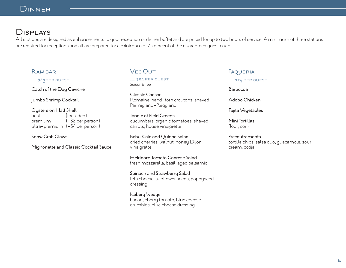# Displays

All stations are designed as enhancements to your reception or dinner buffet and are priced for up to two hours of service. A minimum of three stations are required for receptions and all are prepared for a minimum of 75 percent of the guaranteed guest count.

#### Raw bar

..... \$43PER GUEST

Catch of the Day Ceviche

Jumbo Shrimp Cocktail

Oysters on Half Shell best (included) premium (+\$2 per person) ultra-premium (+\$4 per person)

Snow Crab Claws

Mignonette and Classic Cocktail Sauce

## **VEG OUT**

..... \$24 per guest *Select three*

Classic Caesar Romaine, hand-torn croutons, shaved Parmigiano-Reggiano

Tangle of Field Greens cucumbers, organic tomatoes, shaved carrots, house vinaigrette

Baby Kale and Quinoa Salad dried cherries, walnut, honey Dijon vinaigrette

Heirloom Tomato Caprese Salad fresh mozzarella, basil, aged balsamic

Spinach and Strawberry Salad feta cheese, sunflower seeds, poppyseed dressing

Iceberg Wedge bacon, cherry tomato, blue cheese crumbles, blue cheese dressing

## **TAQUERIA**

..... \$24 per guest

Barbocoa

Adobo Chicken

Fajita Vegetables

Mini Tortillas flour, corn

**Accoutrements** tortilla chips, salsa duo, guacamole, sour cream, cotija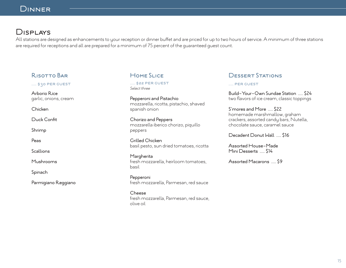# Displays

All stations are designed as enhancements to your reception or dinner buffet and are priced for up to two hours of service. A minimum of three stations are required for receptions and all are prepared for a minimum of 75 percent of the guaranteed guest count.

## Risotto Bar

..... \$30 PER GUEST

Arborio Rice garlic, onions, cream

Chicken

Duck Confit

Shrimp

Peas

**Scallions** 

Mushrooms

Spinach

Parmigiano Reggiano

## HOME SLICE

..... \$22 per guest *Select three*

Pepperoni and Pistachio mozzarella, ricotta, pistachio, shaved spanish onion

Chorizo and Peppers mozzarella iberico chorizo, piquillo peppers

Grilled Chicken basil pesto, sun dried tomatoes, ricotta

**Margherita** fresh mozzarella, heirloom tomatoes, basil

Pepperoni fresh mozzarella, Parmesan, red sauce

Cheese fresh mozzarella, Parmesan, red sauce, olive oil

## Dessert Stations

#### ..... per guest

Build-Your-Own Sundae Station ..... \$24 two flavors of ice cream, classic toppings

S'mores and More ..... \$22 homemade marshmallow, graham crackers, assorted candy bars, Nutella, chocolate sauce, caramel sauce

Decadent Donut Wall ..... \$16

Assorted House-Made Mini Desserts ..... \$14

Assorted Macarons ..... \$9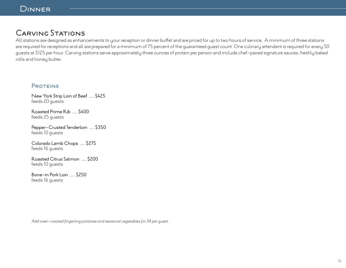# CARVING STATIONS

All stations are designed as enhancements to your reception or dinner buffet and are priced for up to two hours of service. A minimum of three stations are required for receptions and all are prepared for a minimum of 75 percent of the guaranteed guest count. One culinary attendant is required for every 50 guests at \$125 per hour. Carving stations serve approximately three ounces of protein per person and include chef-paired signature sauces, freshly baked rolls and honey butter.

#### PROTEINS

New York Strip Loin of Beef ..... \$425 feeds 20 guests

Roasted Prime Rib ..... \$400 feeds 25 guests

Pepper-Crusted Tenderloin ..... \$350 feeds 10 guests

Colorado Lamb Chops ..... \$275 feeds 16 guests

Roasted Citrus Salmon ..... \$200 feeds 10 guests

Bone-in Pork Loin ..... \$250 feeds 16 guests

*Add oven-roasted fingerling potatoes and seasonal vegetables for \$8 per guest.*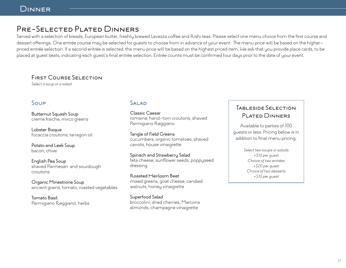# Pre-Selected Plated Dinners

Served with a selection of breads, European butter, freshly brewed Lavazza coffee and Rishi teas. Please select one menu choice from the first course and dessert offerings. One entrée course may be selected for guests to choose from in advance of your event. The menu price will be based on the higherpriced entrée selection. If a second entrée is selected, the menu price will be based on the highest priced item. We ask that you provide place cards, to be placed at guest seats, indicating each guest's final entrée selection. Entrée counts must be confirmed four days prior to the date of your event.

#### First Course Selection

*Select a soup or a salad*

## Soup

Butternut Squash Soup creme fraiche, mirco greens

Lobster Bisque focaccia croutons, tarragon oil

Potato and Leek Soup bacon, chive

English Pea Soup shaved Parmesan and sourdough croutons

Organic Minestrone Soup ancient grains, tomato, roasted vegetables

Tomato Basil Parmigiano Reggiano, herbs

#### SALAD

Classic Caesar romaine, hand-torn croutons, shaved Parmigiano Reggiano

Tangle of Field Greens cucumbers, organic tomatoes, shaved carrots, house vinaigrette

Spinach and Strawberry Salad feta cheese, sunflower seeds, poppyseed dressing

Roasted Heirloom Beet mixed greens, goat cheese, candied walnuts, honey vinaigrette

Superfood Salad broccolini, dried cherries, Marcona almonds, champagne vinaigrette

# Tableside Selection Plated Dinners

Available to parties of 100 guests or less. Pricing below is in addition to final menu pricing.

> *Select two soups or salads +\$10 per guest Choice of two entrées +\$20 per guest Choice of two desserts +\$10 per guest*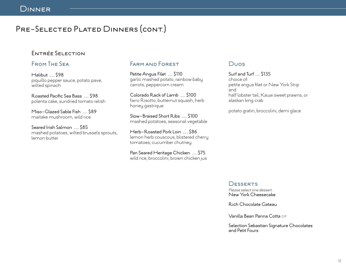# PRE-SELECTED PLATED DINNERS (CONT.)

## Entrée Selection

#### From The Sea

Halibut ..... \$98 piquillo pepper sauce, potato pave, wilted spinach

Roasted Pacific Sea Bass ..... \$98 polenta cake, sundried tomato relish

Miso-Glazed Sable Fish ..... \$89 maitake mushroom, wild rice

Seared Irish Salmon ..... \$85 mashed potatoes, wilted brussels sprouts, lemon butter

#### Farm and Forest

Petite Angus Filet ..... \$110 garlic mashed potato, rainbow baby carrots, peppercorn cream

Colorado Rack of Lamb ..... \$100 farro Risotto, butternut squash, herb honey gastrique

Slow-Braised Short Ribs ..... \$100 mashed potatoes, seasonal vegetable

Herb-Roasted Pork Loin ..... \$86 lemon herb couscous, blistered cherry tomatoes, cucumber chutney

Pan Seared Heritage Chicken ..... \$75 wild rice, broccolini, brown chicken jus

## Duos

Surf and Turf ..... \$135 choice of: petite angus filet or New York Strip and half lobster tail, Kauai sweet prawns, or alaskan king crab

potato gratin, broccolini, demi glace

**DESSERTS** 

*Please select one dessert.* New York Cheesecake

Rich Chocolate Gateau

Vanilla Bean Panna Cotta GF

Selection Sebastian Signature Chocolates and Petit Fours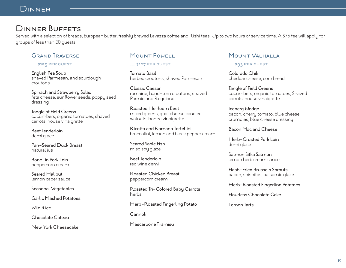# Dinner Buffets

Served with a selection of breads, European butter, freshly brewed Lavazza coffee and Rishi teas. Up to two hours of service time. A \$75 fee will apply for groups of less than 20 guests.

## Grand Traverse

..... \$125 per guest

English Pea Soup shaved Parmesan, and sourdough croutons

Spinach and Strawberry Salad feta cheese, sunflower seeds, poppy seed dressing

Tangle of Field Greens cucumbers, organic tomatoes, shaved carrots, house vinaigrette

Beef Tenderloin demi glace

Pan-Seared Duck Breast natural jus

Bone-in Pork Loin peppercorn cream

Seared Halibut lemon caper sauce

Seasonal Vegetables

Garlic Mashed Potatoes

Wild Rice

Chocolate Gateau

New York Cheesecake

## Mount Powell

..... \$107 per guest

Tomato Basil herbed croutons, shaved Parmesan

Classic Caesar romaine, hand-torn croutons, shaved Parmigiano Reggiano

Roasted Heirloom Beet mixed greens, goat cheese,candied walnuts, honey vinaigrette

Ricotta and Romano Tortellini broccolini, lemon and black pepper cream

Seared Sable Fish miso soy glaze

Beef Tenderloin red wine demi

Roasted Chicken Breast peppercorn cream

Roasted Tri-Colored Baby Carrots herbs

Herb-Roasted Fingerling Potato

Cannoli

Mascarpone Tiramisu

## Mount Valhalla

..... \$93 PER GUEST

Colorado Chili cheddar cheese, corn bread

Tangle of Field Greens cucumbers, organic tomatoes, Shaved carrots, house vinaigrette

Iceberg Wedge bacon, cherry tomato, blue cheese crumbles, blue cheese dressing

Bacon Mac and Cheese

Herb-Crusted Pork Loin demi glace

Salmon Sitka Salmon lemon herb cream sauce

Flash-Fried Brussels Sprouts bacon, shishitos, balsamic glaze

Herb-Roasted Fingerling Potatoes

Flourless Chocolate Cake

Lemon Tarts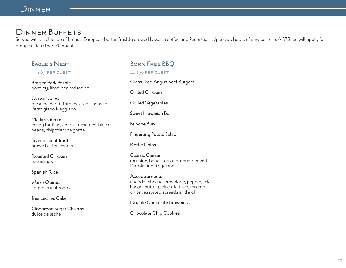# Dinner Buffets

Served with a selection of breads, European butter, freshly brewed Lavazza coffee and Rishi teas. Up to two hours of service time. A \$75 fee will apply for groups of less than 20 guests.

## Eagle's Nest

..... \$83 PER GUEST

Braised Pork Pozole hominy, lime, shaved radish

Classic Caesar romaine hand-torn croutons, shaved Parmigiano Reggiano

Market Greens crispy tortillas, cherry tomatoes, black beans, chipotle vinaigrette

Seared Local Trout brown butter, capers

Roasted Chicken natural jus

Spanish Rice

Warm Quinoa sofrito, mushroom

Tres Leches Cake

Cinnamon Sugar Churros dulce de leche

# Born Free BBQ

#### ..... \$70 PER GUEST

Grass-Fed Angus Beef Burgers

Grilled Chicken

Grilled Vegetables

Sweet Hawaiian Bun

Brioche Bun

Fingerling Potato Salad

Kettle Chips

Classic Caesar romaine, hand-torn croutons, shaved Parmigiano Reggiano

**Accoutrements** cheddar cheese, provolone, pepperjack, bacon, butter pickles, lettuce, tomato, onion, assorted spreads and aioli

Double Chocolate Brownies

Chocolate Chip Cookies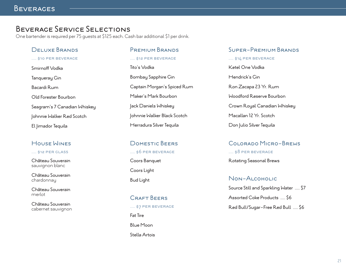# Beverage Service Selections

One bartender is required per 75 guests at \$125 each. Cash bar additional \$1 per drink.

#### Deluxe Brands

..... \$10 per beverage

Smirnoff Vodka Tanqueray Gin Bacardi Rum Old Forester Bourbon Seagram's 7 Canadian Whiskey Johnnie Walker Red Scotch El Jimador Tequila

## House Wines

..... \$12 PER GLASS

Château Souverain sauvignon blanc

Château Souverain chardonnay

Château Souverain merlot

Château Souverain cabernet sauvignon

#### Premium Brands

..... \$12 PER BEVERAGE Tito's Vodka Bombay Sapphire Gin Captain Morgan's Spiced Rum Maker's Mark Bourbon Jack Daniels Whiskey Johnnie Walker Black Scotch Herradura Silver Tequila

Domestic Beers ..... \$6 per beverage Coors Banquet

Coors Light

CRAFT BEERS ..... \$7 PER BEVERAGE Fat Tire Blue Moon Stella Artois

#### Super-Premium Brands

..... \$14 per beverage

Ketel One Vodka Hendrick's Gin Ron Zacapa 23 Yr. Rum Woodford Reserve Bourbon Crown Royal Canadian Whiskey Macallan 12 Yr. Scotch Don Julio Silver Tequila

#### Colorado Micro-Brews ..... \$8 per beverage

Rotating Seasonal Brews

Bud Light Non-Alcoholic Source Still and Sparkling Water ..... \$7 Assorted Coke Products ..... \$6 Red Bull/Sugar-Free Red Bull ..... \$6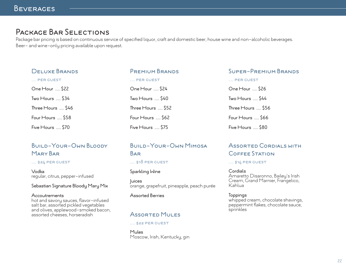# Package Bar Selections

Package bar pricing is based on continuous service of specified liquor, craft and domestic beer, house wine and non-alcoholic beverages. Beer- and wine-only pricing available upon request.

Premium Brands

..... per guest

One Hour ..... \$24

Two Hours ..... \$40

Three Hours ..... \$52

Four Hours ..... \$62

| <b>DELUXE BRANDS</b>       |  |
|----------------------------|--|
| PER GUEST                  |  |
| One Hour  \$22             |  |
| Two $H_{\text{ours}}$ \$34 |  |
| Three Hours  \$46          |  |
| Four Hours  \$58           |  |
| Five Hours  \$70           |  |

# Build-Your-Own Bloody Mary Bar

#### ..... \$24 per guest

Vodka regular, citrus, pepper-infused

#### Sebastian Signature Bloody Mary Mix

#### Accoutrements

hot and savory sauces, flavor-infused salt bar, assorted pickled vegetables and olives, applewood-smoked bacon, assorted cheeses, horseradish

# Five Hours ..... \$75 Build-Your-Own Mimosa

#### Bar

#### ..... \$18 per guest

#### Sparkling Wine

Juices orange, grapefruit, pineapple, peach purée

#### Assorted Berries

## Assorted Mules

#### ..... \$22 per guest

Mules Moscow, Irish, Kentucky, gin

#### Super-Premium Brands

..... per guest

| One Hour  \$26    |
|-------------------|
| Two Hours  \$44   |
| Three Hours  \$56 |
| Four Hours  \$66  |
| Five Hours  \$80  |

## Assorted Cordials with Coffee Station

..... \$14 per guest

Cordials Amaretto Disaronno, Bailey's Irish Cream, Grand Marnier, Frangelico, Kahlua

**Toppings** whipped cream, chocolate shavings, peppermint flakes, chocolate sauce, sprinkles